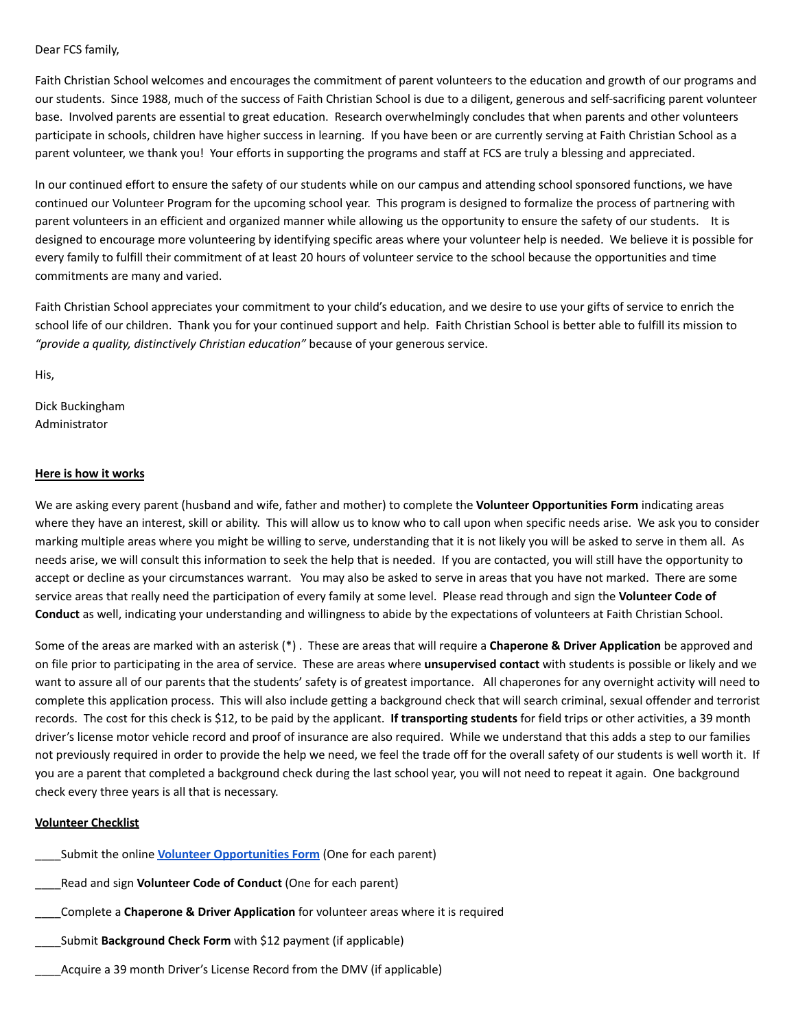#### Dear FCS family,

Faith Christian School welcomes and encourages the commitment of parent volunteers to the education and growth of our programs and our students. Since 1988, much of the success of Faith Christian School is due to a diligent, generous and self-sacrificing parent volunteer base. Involved parents are essential to great education. Research overwhelmingly concludes that when parents and other volunteers participate in schools, children have higher success in learning. If you have been or are currently serving at Faith Christian School as a parent volunteer, we thank you! Your efforts in supporting the programs and staff at FCS are truly a blessing and appreciated.

In our continued effort to ensure the safety of our students while on our campus and attending school sponsored functions, we have continued our Volunteer Program for the upcoming school year. This program is designed to formalize the process of partnering with parent volunteers in an efficient and organized manner while allowing us the opportunity to ensure the safety of our students. It is designed to encourage more volunteering by identifying specific areas where your volunteer help is needed. We believe it is possible for every family to fulfill their commitment of at least 20 hours of volunteer service to the school because the opportunities and time commitments are many and varied.

Faith Christian School appreciates your commitment to your child's education, and we desire to use your gifts of service to enrich the school life of our children. Thank you for your continued support and help. Faith Christian School is better able to fulfill its mission to *"provide a quality, distinctively Christian education"* because of your generous service.

His,

Dick Buckingham Administrator

#### **Here is how it works**

We are asking every parent (husband and wife, father and mother) to complete the **Volunteer Opportunities Form** indicating areas where they have an interest, skill or ability. This will allow us to know who to call upon when specific needs arise. We ask you to consider marking multiple areas where you might be willing to serve, understanding that it is not likely you will be asked to serve in them all. As needs arise, we will consult this information to seek the help that is needed. If you are contacted, you will still have the opportunity to accept or decline as your circumstances warrant. You may also be asked to serve in areas that you have not marked. There are some service areas that really need the participation of every family at some level. Please read through and sign the **Volunteer Code of Conduct** as well, indicating your understanding and willingness to abide by the expectations of volunteers at Faith Christian School.

Some of the areas are marked with an asterisk (\*) . These are areas that will require a **Chaperone & Driver Application** be approved and on file prior to participating in the area of service. These are areas where **unsupervised contact** with students is possible or likely and we want to assure all of our parents that the students' safety is of greatest importance. All chaperones for any overnight activity will need to complete this application process. This will also include getting a background check that will search criminal, sexual offender and terrorist records. The cost for this check is \$12, to be paid by the applicant. **If transporting students** for field trips or other activities, a 39 month driver's license motor vehicle record and proof of insurance are also required. While we understand that this adds a step to our families not previously required in order to provide the help we need, we feel the trade off for the overall safety of our students is well worth it. If you are a parent that completed a background check during the last school year, you will not need to repeat it again. One background check every three years is all that is necessary.

#### **Volunteer Checklist**

\_\_\_\_Submit the online **Volunteer [Opportunities](https://docs.google.com/forms/d/e/1FAIpQLScsekicrvl5F74ZCtlUGB7axl92eIEa-MeCKGdIalYtdEumJg/viewform) Form** (One for each parent)

\_\_\_\_Read and sign **Volunteer Code of Conduct** (One for each parent)

- \_\_\_\_Complete a **Chaperone & Driver Application** for volunteer areas where it is required
- \_\_\_\_Submit **Background Check Form** with \$12 payment (if applicable)
- Acquire a 39 month Driver's License Record from the DMV (if applicable)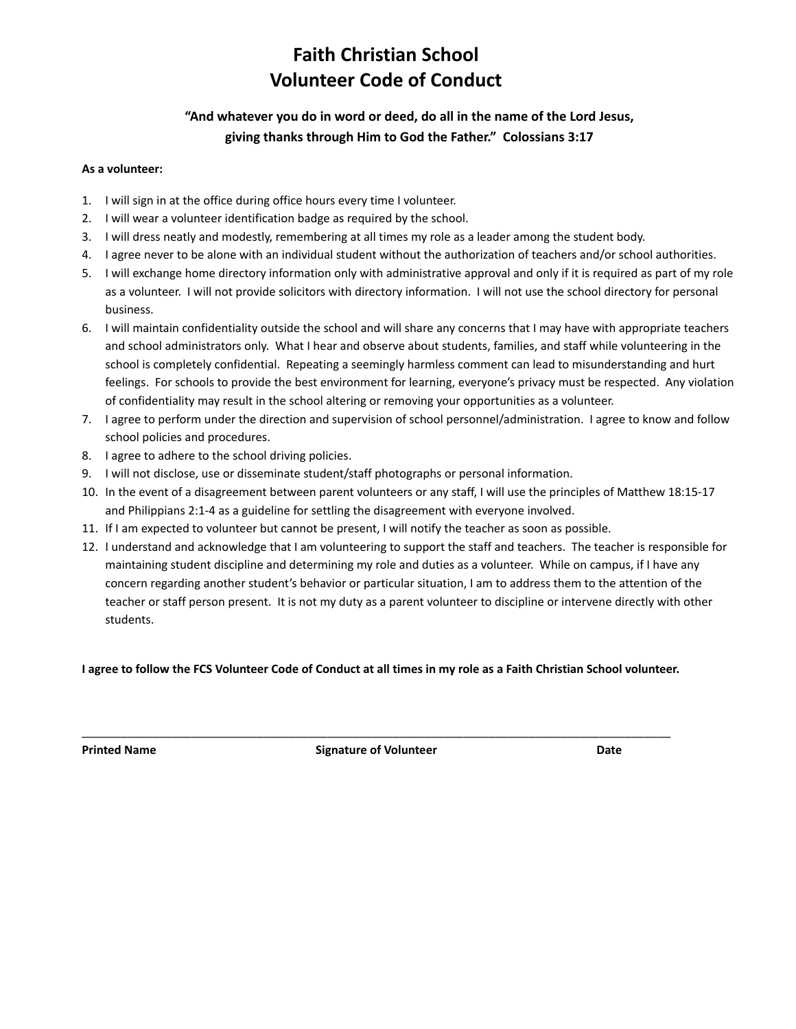# **Faith Christian School Volunteer Code of Conduct**

### **"And whatever you do in word or deed, do all in the name of the Lord Jesus, giving thanks through Him to God the Father." Colossians 3:17**

### **As a volunteer:**

- 1. I will sign in at the office during office hours every time I volunteer.
- 2. I will wear a volunteer identification badge as required by the school.
- 3. I will dress neatly and modestly, remembering at all times my role as a leader among the student body.
- 4. I agree never to be alone with an individual student without the authorization of teachers and/or school authorities.
- 5. I will exchange home directory information only with administrative approval and only if it is required as part of my role as a volunteer. I will not provide solicitors with directory information. I will not use the school directory for personal business.
- 6. I will maintain confidentiality outside the school and will share any concerns that I may have with appropriate teachers and school administrators only. What I hear and observe about students, families, and staff while volunteering in the school is completely confidential. Repeating a seemingly harmless comment can lead to misunderstanding and hurt feelings. For schools to provide the best environment for learning, everyone's privacy must be respected. Any violation of confidentiality may result in the school altering or removing your opportunities as a volunteer.
- 7. I agree to perform under the direction and supervision of school personnel/administration. I agree to know and follow school policies and procedures.
- 8. I agree to adhere to the school driving policies.
- 9. I will not disclose, use or disseminate student/staff photographs or personal information.
- 10. In the event of a disagreement between parent volunteers or any staff, I will use the principles of Matthew 18:15-17 and Philippians 2:1-4 as a guideline for settling the disagreement with everyone involved.
- 11. If I am expected to volunteer but cannot be present, I will notify the teacher as soon as possible.
- 12. I understand and acknowledge that I am volunteering to support the staff and teachers. The teacher is responsible for maintaining student discipline and determining my role and duties as a volunteer. While on campus, if I have any concern regarding another student's behavior or particular situation, I am to address them to the attention of the teacher or staff person present. It is not my duty as a parent volunteer to discipline or intervene directly with other students.

### I agree to follow the FCS Volunteer Code of Conduct at all times in my role as a Faith Christian School volunteer.

\_\_\_\_\_\_\_\_\_\_\_\_\_\_\_\_\_\_\_\_\_\_\_\_\_\_\_\_\_\_\_\_\_\_\_\_\_\_\_\_\_\_\_\_\_\_\_\_\_\_\_\_\_\_\_\_\_\_\_\_\_\_\_\_\_\_\_\_\_\_\_\_\_\_\_\_\_\_\_\_\_\_\_\_\_\_\_\_\_\_\_ **Printed Name Signature of Volunteer Date**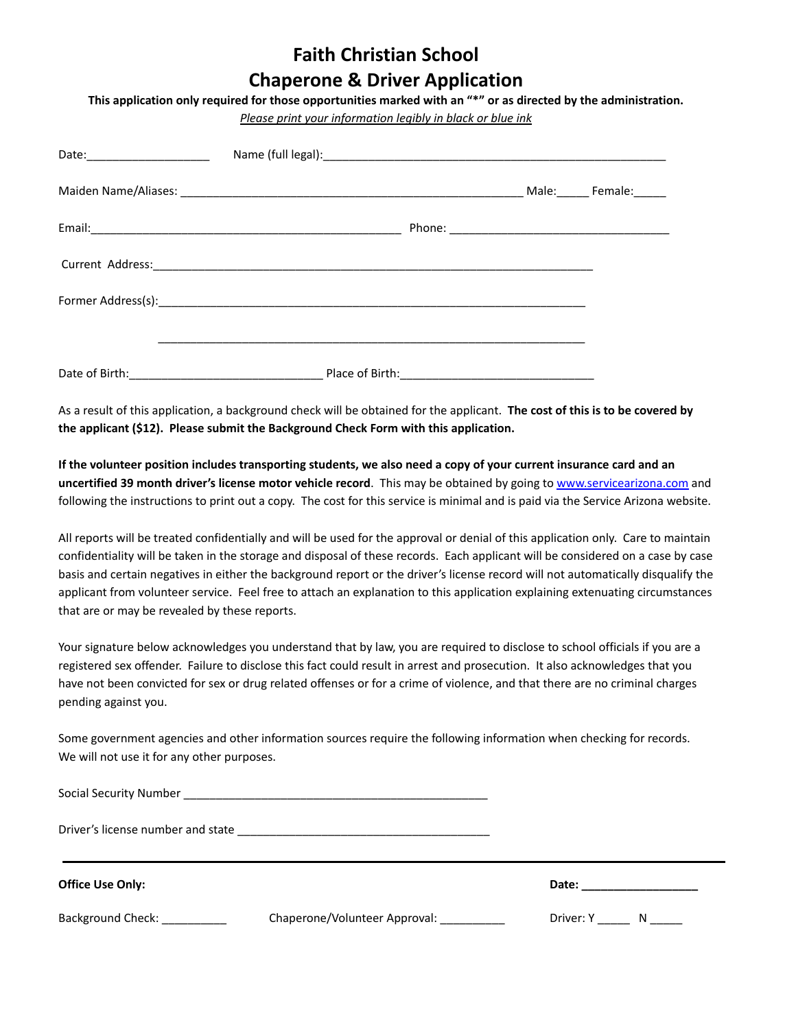## **Faith Christian School Chaperone & Driver Application**

This application only required for those opportunities marked with an "\*" or as directed by the administration.

*Please print your information legibly in black or blue ink*

|                | Current Address: 2008 Current Address: 2008 Current Address: 2008 Current Address: 2008 Current Address: 2008 |  |  |
|----------------|---------------------------------------------------------------------------------------------------------------|--|--|
|                |                                                                                                               |  |  |
|                |                                                                                                               |  |  |
| Date of Birth: | Place of Birth:                                                                                               |  |  |

As a result of this application, a background check will be obtained for the applicant. **The cost of this is to be covered by the applicant (\$12). Please submit the Background Check Form with this application.**

If the volunteer position includes transporting students, we also need a copy of your current insurance card and an **uncertified 39 month driver's license motor vehicle record**. This may be obtained by going to [www.servicearizona.com](http://www.servicearizona.com) and following the instructions to print out a copy. The cost for this service is minimal and is paid via the Service Arizona website.

All reports will be treated confidentially and will be used for the approval or denial of this application only. Care to maintain confidentiality will be taken in the storage and disposal of these records. Each applicant will be considered on a case by case basis and certain negatives in either the background report or the driver's license record will not automatically disqualify the applicant from volunteer service. Feel free to attach an explanation to this application explaining extenuating circumstances that are or may be revealed by these reports.

Your signature below acknowledges you understand that by law, you are required to disclose to school officials if you are a registered sex offender. Failure to disclose this fact could result in arrest and prosecution. It also acknowledges that you have not been convicted for sex or drug related offenses or for a crime of violence, and that there are no criminal charges pending against you.

Some government agencies and other information sources require the following information when checking for records. We will not use it for any other purposes.

| <b>Office Use Only:</b> |                               | Date: the contract of the contract of the contract of the contract of the contract of the contract of the contract of the contract of the contract of the contract of the contract of the contract of the contract of the cont |  |
|-------------------------|-------------------------------|--------------------------------------------------------------------------------------------------------------------------------------------------------------------------------------------------------------------------------|--|
| Background Check:       | Chaperone/Volunteer Approval: | Driver: Y N                                                                                                                                                                                                                    |  |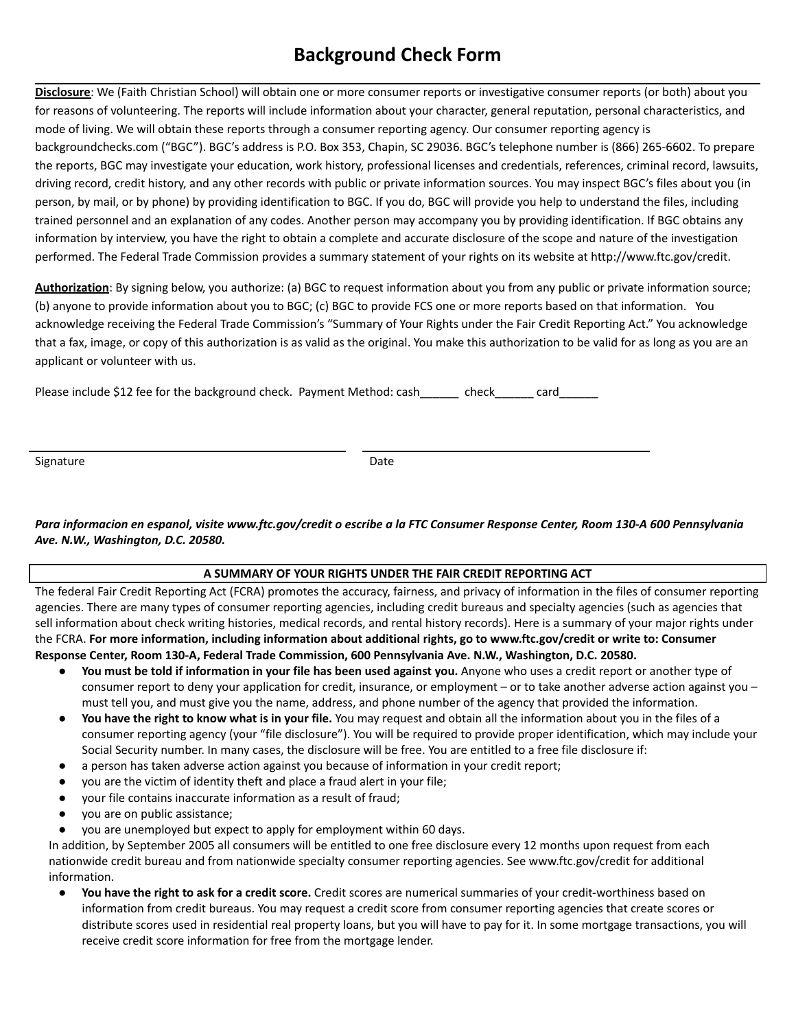# **Background Check Form**

**Disclosure**: We (Faith Christian School) will obtain one or more consumer reports or investigative consumer reports (or both) about you for reasons of volunteering. The reports will include information about your character, general reputation, personal characteristics, and mode of living. We will obtain these reports through a consumer reporting agency. Our consumer reporting agency is backgroundchecks.com ("BGC"). BGC's address is P.O. Box 353, Chapin, SC 29036. BGC's telephone number is (866) 265-6602. To prepare the reports, BGC may investigate your education, work history, professional licenses and credentials, references, criminal record, lawsuits, driving record, credit history, and any other records with public or private information sources. You may inspect BGC's files about you (in person, by mail, or by phone) by providing identification to BGC. If you do, BGC will provide you help to understand the files, including trained personnel and an explanation of any codes. Another person may accompany you by providing identification. If BGC obtains any information by interview, you have the right to obtain a complete and accurate disclosure of the scope and nature of the investigation performed. The Federal Trade Commission provides a summary statement of your rights on its website at http://www.ftc.gov/credit.

**Authorization**: By signing below, you authorize: (a) BGC to request information about you from any public or private information source; (b) anyone to provide information about you to BGC; (c) BGC to provide FCS one or more reports based on that information. You acknowledge receiving the Federal Trade Commission's "Summary of Your Rights under the Fair Credit Reporting Act." You acknowledge that a fax, image, or copy of this authorization is as valid as the original. You make this authorization to be valid for as long as you are an applicant or volunteer with us.

Please include \$12 fee for the background check. Payment Method: cash\_\_\_\_\_\_ check\_\_\_\_\_\_ card\_\_\_\_

Signature Date Date Date Date

Para informacion en espanol, visite www.ftc.gov/credit o escribe a la FTC Consumer Response Center, Room 130-A 600 Pennsylvania *Ave. N.W., Washington, D.C. 20580.*

#### **A SUMMARY OF YOUR RIGHTS UNDER THE FAIR CREDIT REPORTING ACT**

The federal Fair Credit Reporting Act (FCRA) promotes the accuracy, fairness, and privacy of information in the files of consumer reporting agencies. There are many types of consumer reporting agencies, including credit bureaus and specialty agencies (such as agencies that sell information about check writing histories, medical records, and rental history records). Here is a summary of your major rights under the FCRA. For more information, including information about additional rights, go to www.ftc.gov/credit or write to: Consumer **Response Center, Room 130-A, Federal Trade Commission, 600 Pennsylvania Ave. N.W., Washington, D.C. 20580.**

- **You must be told if information in your file has been used against you.** Anyone who uses a credit report or another type of consumer report to deny your application for credit, insurance, or employment – or to take another adverse action against you – must tell you, and must give you the name, address, and phone number of the agency that provided the information.
- **You have the right to know what is in your file.** You may request and obtain all the information about you in the files of a consumer reporting agency (your "file disclosure"). You will be required to provide proper identification, which may include your Social Security number. In many cases, the disclosure will be free. You are entitled to a free file disclosure if:
- a person has taken adverse action against you because of information in your credit report;
- you are the victim of identity theft and place a fraud alert in your file;
- your file contains inaccurate information as a result of fraud;
- you are on public assistance;
- you are unemployed but expect to apply for employment within 60 days.

In addition, by September 2005 all consumers will be entitled to one free disclosure every 12 months upon request from each nationwide credit bureau and from nationwide specialty consumer reporting agencies. See www.ftc.gov/credit for additional information.

● **You have the right to ask for a credit score.** Credit scores are numerical summaries of your credit-worthiness based on information from credit bureaus. You may request a credit score from consumer reporting agencies that create scores or distribute scores used in residential real property loans, but you will have to pay for it. In some mortgage transactions, you will receive credit score information for free from the mortgage lender.